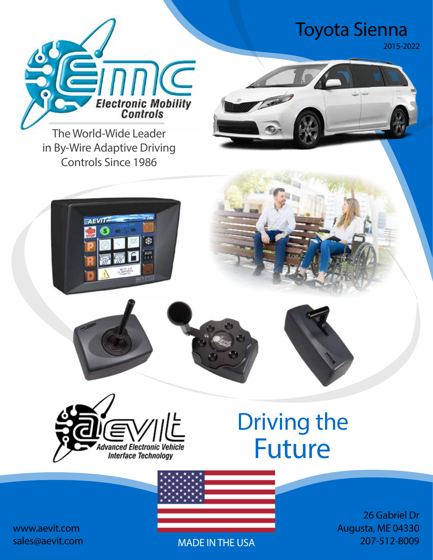# Toyota Sienna *2015-2022*



**The World-Wide Leader in By-Wire Adaptive Driving Controls Since 1986**









# Future Driving the



*26 Gabriel Dr Augusta, ME 04330* **MADE IN THE USA** *207-512-8009*

*www.aevit.com sales@aevit.com*